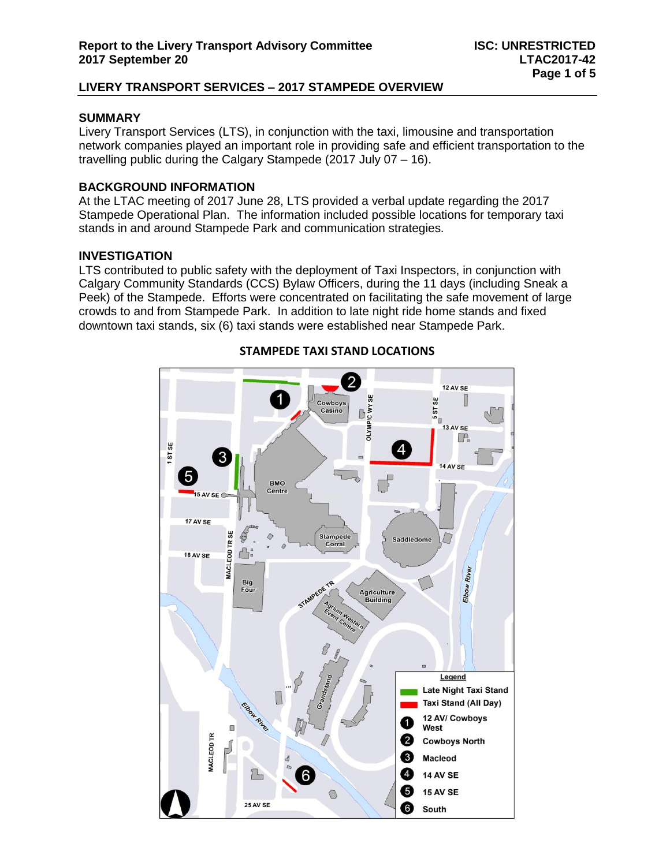### **SUMMARY**

Livery Transport Services (LTS), in conjunction with the taxi, limousine and transportation network companies played an important role in providing safe and efficient transportation to the travelling public during the Calgary Stampede (2017 July 07 – 16).

### **BACKGROUND INFORMATION**

At the LTAC meeting of 2017 June 28, LTS provided a verbal update regarding the 2017 Stampede Operational Plan. The information included possible locations for temporary taxi stands in and around Stampede Park and communication strategies.

#### **INVESTIGATION**

LTS contributed to public safety with the deployment of Taxi Inspectors, in conjunction with Calgary Community Standards (CCS) Bylaw Officers, during the 11 days (including Sneak a Peek) of the Stampede. Efforts were concentrated on facilitating the safe movement of large crowds to and from Stampede Park. In addition to late night ride home stands and fixed downtown taxi stands, six (6) taxi stands were established near Stampede Park.



### **STAMPEDE TAXI STAND LOCATIONS**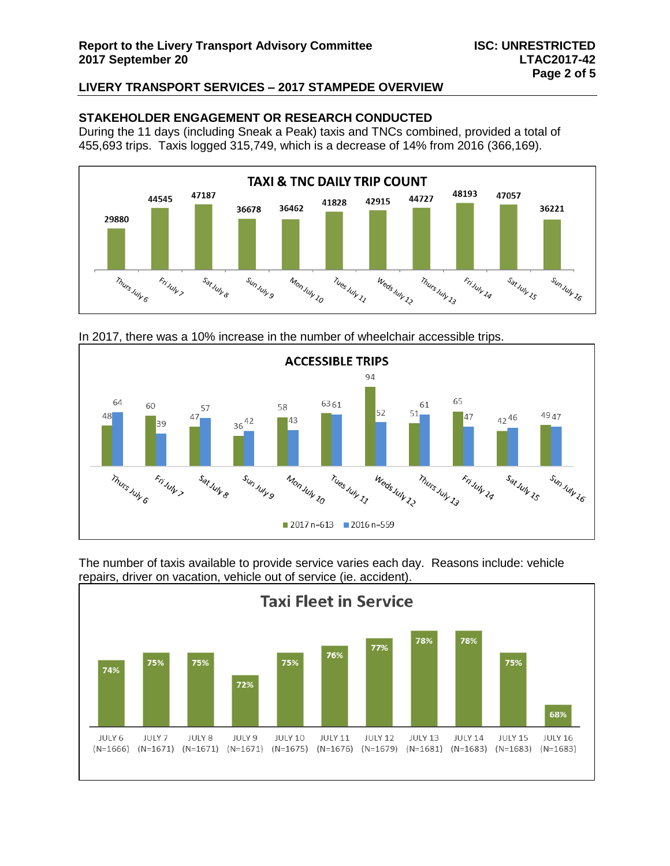### **STAKEHOLDER ENGAGEMENT OR RESEARCH CONDUCTED**

During the 11 days (including Sneak a Peak) taxis and TNCs combined, provided a total of 455,693 trips. Taxis logged 315,749, which is a decrease of 14% from 2016 (366,169).







The number of taxis available to provide service varies each day. Reasons include: vehicle repairs, driver on vacation, vehicle out of service (ie. accident).

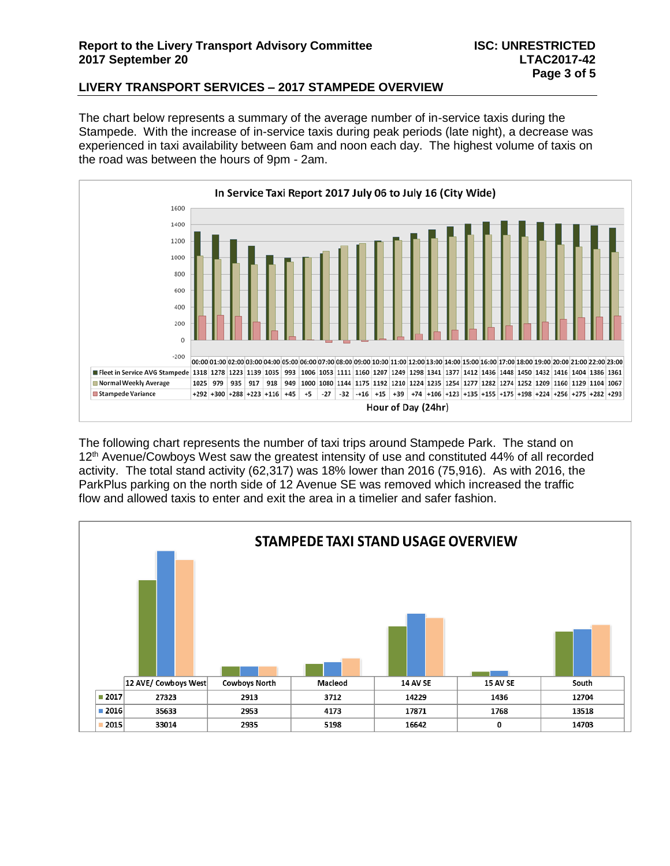### **Report to the Livery Transport Advisory Committee ISC: UNRESTRICTED 2017 September 20 LTAC2017-42**

### **LIVERY TRANSPORT SERVICES – 2017 STAMPEDE OVERVIEW**

The chart below represents a summary of the average number of in-service taxis during the Stampede. With the increase of in-service taxis during peak periods (late night), a decrease was experienced in taxi availability between 6am and noon each day. The highest volume of taxis on the road was between the hours of 9pm - 2am.



The following chart represents the number of taxi trips around Stampede Park. The stand on 12<sup>th</sup> Avenue/Cowboys West saw the greatest intensity of use and constituted 44% of all recorded activity. The total stand activity (62,317) was 18% lower than 2016 (75,916). As with 2016, the ParkPlus parking on the north side of 12 Avenue SE was removed which increased the traffic flow and allowed taxis to enter and exit the area in a timelier and safer fashion.

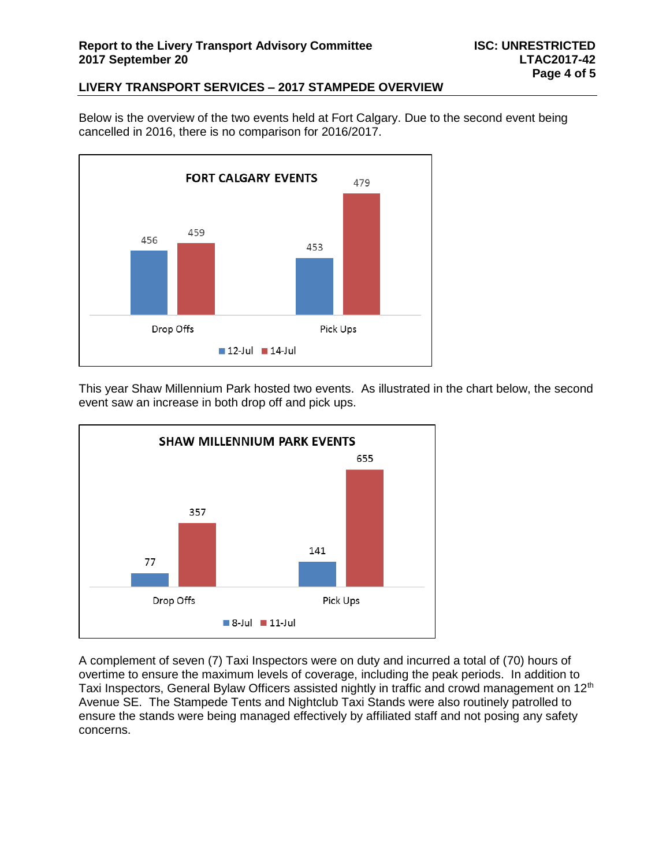Below is the overview of the two events held at Fort Calgary. Due to the second event being cancelled in 2016, there is no comparison for 2016/2017.



This year Shaw Millennium Park hosted two events. As illustrated in the chart below, the second event saw an increase in both drop off and pick ups.



A complement of seven (7) Taxi Inspectors were on duty and incurred a total of (70) hours of overtime to ensure the maximum levels of coverage, including the peak periods. In addition to Taxi Inspectors, General Bylaw Officers assisted nightly in traffic and crowd management on 12<sup>th</sup> Avenue SE. The Stampede Tents and Nightclub Taxi Stands were also routinely patrolled to ensure the stands were being managed effectively by affiliated staff and not posing any safety concerns.